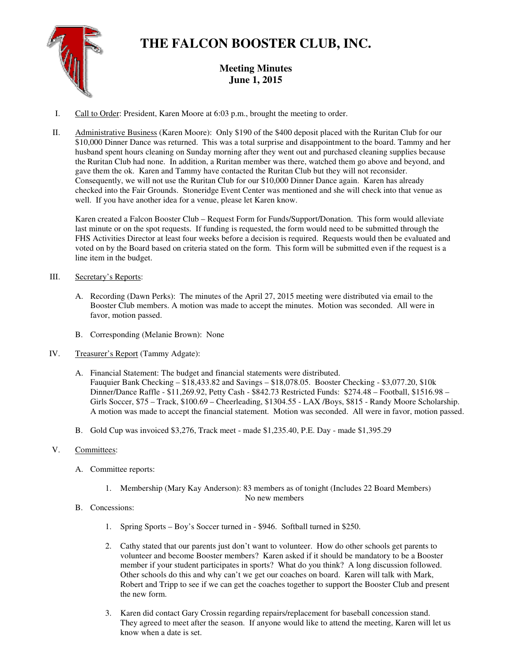

# **THE FALCON BOOSTER CLUB, INC.**

# **Meeting Minutes June 1, 2015**

- I. Call to Order: President, Karen Moore at 6:03 p.m., brought the meeting to order.
- II. Administrative Business (Karen Moore): Only \$190 of the \$400 deposit placed with the Ruritan Club for our \$10,000 Dinner Dance was returned. This was a total surprise and disappointment to the board. Tammy and her husband spent hours cleaning on Sunday morning after they went out and purchased cleaning supplies because the Ruritan Club had none. In addition, a Ruritan member was there, watched them go above and beyond, and gave them the ok. Karen and Tammy have contacted the Ruritan Club but they will not reconsider. Consequently, we will not use the Ruritan Club for our \$10,000 Dinner Dance again. Karen has already checked into the Fair Grounds. Stoneridge Event Center was mentioned and she will check into that venue as well. If you have another idea for a venue, please let Karen know.

Karen created a Falcon Booster Club – Request Form for Funds/Support/Donation. This form would alleviate last minute or on the spot requests. If funding is requested, the form would need to be submitted through the FHS Activities Director at least four weeks before a decision is required. Requests would then be evaluated and voted on by the Board based on criteria stated on the form. This form will be submitted even if the request is a line item in the budget.

## III. Secretary's Reports:

- A. Recording (Dawn Perks): The minutes of the April 27, 2015 meeting were distributed via email to the Booster Club members. A motion was made to accept the minutes. Motion was seconded. All were in favor, motion passed.
- B. Corresponding (Melanie Brown): None
- IV. Treasurer's Report (Tammy Adgate):
	- A. Financial Statement: The budget and financial statements were distributed. Fauquier Bank Checking – \$18,433.82 and Savings – \$18,078.05. Booster Checking - \$3,077.20, \$10k Dinner/Dance Raffle - \$11,269.92, Petty Cash - \$842.73 Restricted Funds: \$274.48 – Football, \$1516.98 – Girls Soccer, \$75 – Track, \$100.69 – Cheerleading, \$1304.55 - LAX /Boys, \$815 - Randy Moore Scholarship. A motion was made to accept the financial statement. Motion was seconded. All were in favor, motion passed.
	- B. Gold Cup was invoiced \$3,276, Track meet made \$1,235.40, P.E. Day made \$1,395.29

## V. Committees:

- A. Committee reports:
	- 1. Membership (Mary Kay Anderson): 83 members as of tonight (Includes 22 Board Members) No new members
- B. Concessions:
	- 1. Spring Sports Boy's Soccer turned in \$946. Softball turned in \$250.
	- 2. Cathy stated that our parents just don't want to volunteer. How do other schools get parents to volunteer and become Booster members? Karen asked if it should be mandatory to be a Booster member if your student participates in sports? What do you think? A long discussion followed. Other schools do this and why can't we get our coaches on board. Karen will talk with Mark, Robert and Tripp to see if we can get the coaches together to support the Booster Club and present the new form.
	- 3. Karen did contact Gary Crossin regarding repairs/replacement for baseball concession stand. They agreed to meet after the season. If anyone would like to attend the meeting, Karen will let us know when a date is set.